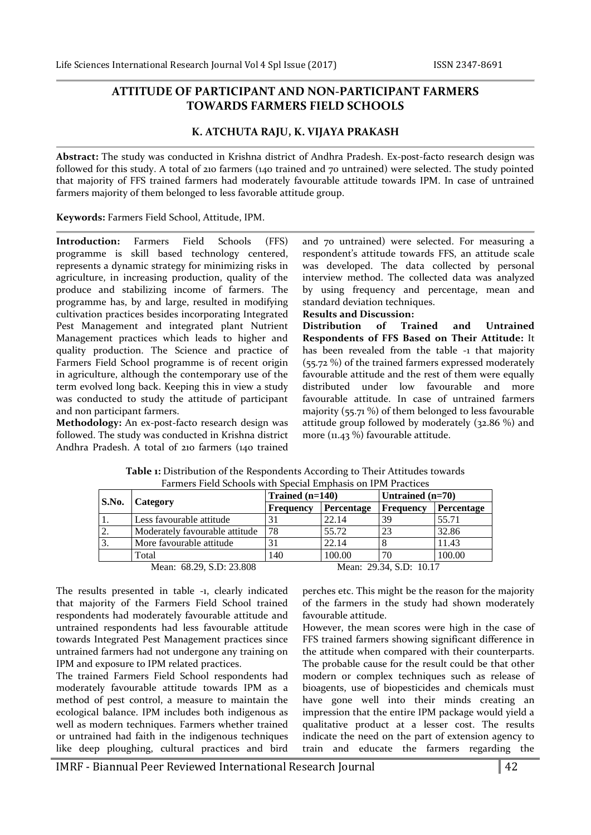## **ATTITUDE OF PARTICIPANT AND NON-PARTICIPANT FARMERS TOWARDS FARMERS FIELD SCHOOLS**

## **K. ATCHUTA RAJU, K. VIJAYA PRAKASH**

**Abstract:** The study was conducted in Krishna district of Andhra Pradesh. Ex-post-facto research design was followed for this study. A total of 210 farmers (140 trained and 70 untrained) were selected. The study pointed that majority of FFS trained farmers had moderately favourable attitude towards IPM. In case of untrained farmers majority of them belonged to less favorable attitude group.

**Keywords:** Farmers Field School, Attitude, IPM.

**Introduction:** Farmers Field Schools (FFS) programme is skill based technology centered, represents a dynamic strategy for minimizing risks in agriculture, in increasing production, quality of the produce and stabilizing income of farmers. The programme has, by and large, resulted in modifying cultivation practices besides incorporating Integrated Pest Management and integrated plant Nutrient Management practices which leads to higher and quality production. The Science and practice of Farmers Field School programme is of recent origin in agriculture, although the contemporary use of the term evolved long back. Keeping this in view a study was conducted to study the attitude of participant and non participant farmers.

**Methodology:** An ex-post-facto research design was followed. The study was conducted in Krishna district Andhra Pradesh. A total of 210 farmers (140 trained

and 70 untrained) were selected. For measuring a respondent's attitude towards FFS, an attitude scale was developed. The data collected by personal interview method. The collected data was analyzed by using frequency and percentage, mean and standard deviation techniques.

## **Results and Discussion:**

**Distribution of Trained and Untrained Respondents of FFS Based on Their Attitude:** It has been revealed from the table -1 that majority (55.72 %) of the trained farmers expressed moderately favourable attitude and the rest of them were equally distributed under low favourable and more favourable attitude. In case of untrained farmers majority (55.71 %) of them belonged to less favourable attitude group followed by moderately (32.86 %) and more (11.43 %) favourable attitude.

| S.No.            | Category                                            | Trained $(n=140)$ |            | Untrained $(n=70)$ |            |  |  |  |
|------------------|-----------------------------------------------------|-------------------|------------|--------------------|------------|--|--|--|
|                  |                                                     | Frequency         | Percentage | Frequency          | Percentage |  |  |  |
| ۱1.              | Less favourable attitude                            | 31                | 22.14      | 39                 | 55.71      |  |  |  |
| $\overline{2}$ . | Moderately favourable attitude                      | 78                | 55.72      | 23                 | 32.86      |  |  |  |
| $\overline{3}$ . | More favourable attitude                            | 31                | 22.14      |                    | 11.43      |  |  |  |
|                  | Total                                               | 140               | 100.00     | 70                 | 100.00     |  |  |  |
|                  | Mean: 68.29, S.D: 23.808<br>Mean: 29.34, S.D: 10.17 |                   |            |                    |            |  |  |  |

**Table 1:** Distribution of the Respondents According to Their Attitudes towards Farmers Field Schools with Special Emphasis on IPM Practices

perches etc. This might be the reason for the majority of the farmers in the study had shown moderately favourable attitude.

that majority of the Farmers Field School trained respondents had moderately favourable attitude and untrained respondents had less favourable attitude towards Integrated Pest Management practices since untrained farmers had not undergone any training on IPM and exposure to IPM related practices.

The results presented in table -1, clearly indicated

The trained Farmers Field School respondents had moderately favourable attitude towards IPM as a method of pest control, a measure to maintain the ecological balance. IPM includes both indigenous as well as modern techniques. Farmers whether trained or untrained had faith in the indigenous techniques like deep ploughing, cultural practices and bird

However, the mean scores were high in the case of FFS trained farmers showing significant difference in the attitude when compared with their counterparts. The probable cause for the result could be that other modern or complex techniques such as release of bioagents, use of biopesticides and chemicals must have gone well into their minds creating an impression that the entire IPM package would yield a qualitative product at a lesser cost. The results indicate the need on the part of extension agency to train and educate the farmers regarding the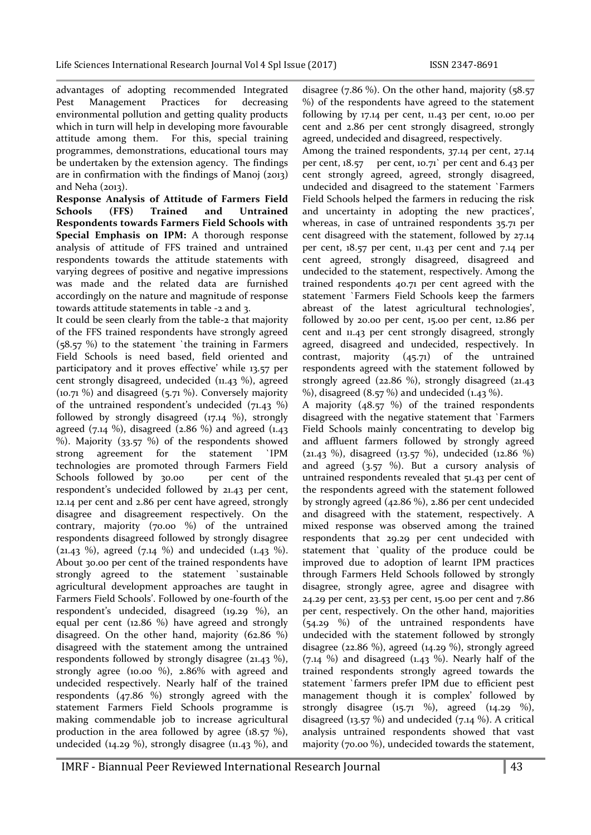advantages of adopting recommended Integrated Pest Management Practices for decreasing environmental pollution and getting quality products which in turn will help in developing more favourable attitude among them. For this, special training programmes, demonstrations, educational tours may be undertaken by the extension agency. The findings are in confirmation with the findings of Manoj (2013) and Neha (2013).

**Response Analysis of Attitude of Farmers Field Schools (FFS) Trained and Untrained Respondents towards Farmers Field Schools with Special Emphasis on IPM:** A thorough response analysis of attitude of FFS trained and untrained respondents towards the attitude statements with varying degrees of positive and negative impressions was made and the related data are furnished accordingly on the nature and magnitude of response towards attitude statements in table -2 and 3.

It could be seen clearly from the table-2 that majority of the FFS trained respondents have strongly agreed (58.57 %) to the statement `the training in Farmers Field Schools is need based, field oriented and participatory and it proves effective' while 13.57 per cent strongly disagreed, undecided (11.43 %), agreed (10.71 %) and disagreed (5.71 %). Conversely majority of the untrained respondent's undecided (71.43 %) followed by strongly disagreed (17.14 %), strongly agreed  $(7.14 \%)$ , disagreed  $(2.86 \%)$  and agreed  $(1.43 \%)$ %). Majority (33.57 %) of the respondents showed strong agreement for the statement `IPM technologies are promoted through Farmers Field Schools followed by 30.00 per cent of the respondent's undecided followed by 21.43 per cent, 12.14 per cent and 2.86 per cent have agreed, strongly disagree and disagreement respectively. On the contrary, majority (70.00 %) of the untrained respondents disagreed followed by strongly disagree  $(21.43 \%)$ , agreed  $(7.14 \%)$  and undecided  $(1.43 \%)$ . About 30.00 per cent of the trained respondents have strongly agreed to the statement `sustainable agricultural development approaches are taught in Farmers Field Schools'. Followed by one-fourth of the respondent's undecided, disagreed (19.29 %), an equal per cent (12.86 %) have agreed and strongly disagreed. On the other hand, majority (62.86 %) disagreed with the statement among the untrained respondents followed by strongly disagree (21.43 %), strongly agree (10.00 %), 2.86% with agreed and undecided respectively. Nearly half of the trained respondents (47.86 %) strongly agreed with the statement Farmers Field Schools programme is making commendable job to increase agricultural production in the area followed by agree (18.57 %), undecided (14.29 %), strongly disagree (11.43 %), and

disagree  $(7.86\%)$ . On the other hand, majority  $(58.57$ %) of the respondents have agreed to the statement following by 17.14 per cent, 11.43 per cent, 10.00 per cent and 2.86 per cent strongly disagreed, strongly agreed, undecided and disagreed, respectively.

Among the trained respondents, 37.14 per cent, 27.14 per cent, 18.57 per cent, 10.71` per cent and 6.43 per cent strongly agreed, agreed, strongly disagreed, undecided and disagreed to the statement `Farmers Field Schools helped the farmers in reducing the risk and uncertainty in adopting the new practices', whereas, in case of untrained respondents 35.71 per cent disagreed with the statement, followed by 27.14 per cent, 18.57 per cent, 11.43 per cent and 7.14 per cent agreed, strongly disagreed, disagreed and undecided to the statement, respectively. Among the trained respondents 40.71 per cent agreed with the statement `Farmers Field Schools keep the farmers abreast of the latest agricultural technologies', followed by 20.00 per cent, 15.00 per cent, 12.86 per cent and 11.43 per cent strongly disagreed, strongly agreed, disagreed and undecided, respectively. In contrast, majority (45.71) of the untrained respondents agreed with the statement followed by strongly agreed (22.86 %), strongly disagreed (21.43 %), disagreed (8.57 %) and undecided (1.43 %).

A majority (48.57 %) of the trained respondents disagreed with the negative statement that `Farmers Field Schools mainly concentrating to develop big and affluent farmers followed by strongly agreed (21.43 %), disagreed (13.57 %), undecided (12.86 %) and agreed  $(3.57 \%)$ . But a cursory analysis of untrained respondents revealed that 51.43 per cent of the respondents agreed with the statement followed by strongly agreed (42.86 %), 2.86 per cent undecided and disagreed with the statement, respectively. A mixed response was observed among the trained respondents that 29.29 per cent undecided with statement that `quality of the produce could be improved due to adoption of learnt IPM practices through Farmers Held Schools followed by strongly disagree, strongly agree, agree and disagree with 24.29 per cent, 23.53 per cent, 15.00 per cent and 7.86 per cent, respectively. On the other hand, majorities (54.29 %) of the untrained respondents have undecided with the statement followed by strongly disagree (22.86 %), agreed (14.29 %), strongly agreed  $(7.14 \%)$  and disagreed  $(1.43 \%)$ . Nearly half of the trained respondents strongly agreed towards the statement `farmers prefer IPM due to efficient pest management though it is complex' followed by strongly disagree (15.71 %), agreed (14.29 %), disagreed (13.57  $\%$ ) and undecided (7.14  $\%$ ). A critical analysis untrained respondents showed that vast majority (70.00 %), undecided towards the statement,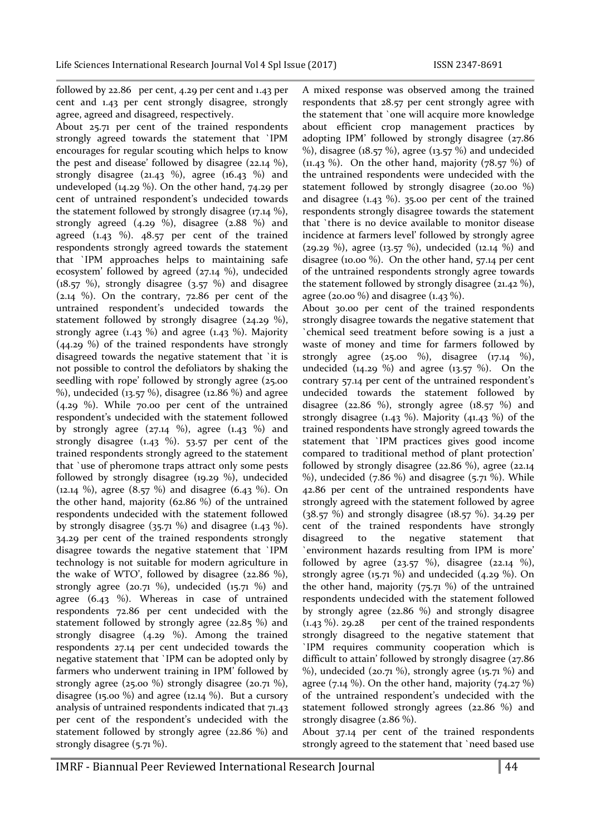followed by 22.86 per cent, 4.29 per cent and 1.43 per cent and 1.43 per cent strongly disagree, strongly agree, agreed and disagreed, respectively.

About 25.71 per cent of the trained respondents strongly agreed towards the statement that `IPM encourages for regular scouting which helps to know the pest and disease' followed by disagree (22.14 %), strongly disagree (21.43 %), agree (16.43 %) and undeveloped (14.29 %). On the other hand, 74.29 per cent of untrained respondent's undecided towards the statement followed by strongly disagree (17.14 %), strongly agreed (4.29 %), disagree (2.88 %) and agreed  $(1.43 \%)$ .  $48.57$  per cent of the trained respondents strongly agreed towards the statement that `IPM approaches helps to maintaining safe ecosystem' followed by agreed (27.14 %), undecided (18.57 %), strongly disagree (3.57 %) and disagree (2.14 %). On the contrary, 72.86 per cent of the untrained respondent's undecided towards the statement followed by strongly disagree (24.29 %), strongly agree  $(1.43\%)$  and agree  $(1.43\%)$ . Majority (44.29 %) of the trained respondents have strongly disagreed towards the negative statement that `it is not possible to control the defoliators by shaking the seedling with rope' followed by strongly agree (25.00 %), undecided (13.57 %), disagree (12.86 %) and agree (4.29 %). While 70.00 per cent of the untrained respondent's undecided with the statement followed by strongly agree  $(27.14 \%)$ , agree  $(1.43 \%)$  and strongly disagree  $(1.43 \%)$ . 53.57 per cent of the trained respondents strongly agreed to the statement that `use of pheromone traps attract only some pests followed by strongly disagree (19.29 %), undecided (12.14 %), agree (8.57 %) and disagree (6.43 %). On the other hand, majority (62.86 %) of the untrained respondents undecided with the statement followed by strongly disagree  $(35.71\%)$  and disagree  $(1.43\%)$ . 34.29 per cent of the trained respondents strongly disagree towards the negative statement that `IPM technology is not suitable for modern agriculture in the wake of WTO', followed by disagree  $(22.86\%)$ , strongly agree (20.71 %), undecided  $(15.71 \%)$  and agree (6.43 %). Whereas in case of untrained respondents 72.86 per cent undecided with the statement followed by strongly agree ( $22.85\%$ ) and strongly disagree (4.29 %). Among the trained respondents 27.14 per cent undecided towards the negative statement that `IPM can be adopted only by farmers who underwent training in IPM' followed by strongly agree (25.00 %) strongly disagree (20.71 %), disagree (15.00 %) and agree (12.14 %). But a cursory analysis of untrained respondents indicated that 71.43 per cent of the respondent's undecided with the statement followed by strongly agree (22.86 %) and strongly disagree (5.71 %).

A mixed response was observed among the trained respondents that 28.57 per cent strongly agree with the statement that `one will acquire more knowledge about efficient crop management practices by adopting IPM' followed by strongly disagree (27.86 %), disagree (18.57 %), agree (13.57 %) and undecided  $(11.43\%)$ . On the other hand, majority  $(78.57\%)$  of the untrained respondents were undecided with the statement followed by strongly disagree (20.00 %) and disagree  $(1.43 \%)$ . 35.00 per cent of the trained respondents strongly disagree towards the statement that `there is no device available to monitor disease incidence at farmers level' followed by strongly agree (29.29 %), agree (13.57 %), undecided (12.14 %) and disagree (10.00 %). On the other hand, 57.14 per cent of the untrained respondents strongly agree towards the statement followed by strongly disagree (21.42 %), agree (20.00 %) and disagree (1.43 %).

About 30.00 per cent of the trained respondents strongly disagree towards the negative statement that `chemical seed treatment before sowing is a just a waste of money and time for farmers followed by strongly agree (25.00 %), disagree (17.14 %), undecided (14.29 %) and agree (13.57 %). On the contrary 57.14 per cent of the untrained respondent's undecided towards the statement followed by disagree (22.86 %), strongly agree ( $18.57$  %) and strongly disagree  $(1.43 \%)$ . Majority  $(41.43 \%)$  of the trained respondents have strongly agreed towards the statement that `IPM practices gives good income compared to traditional method of plant protection' followed by strongly disagree (22.86 %), agree (22.14 %), undecided  $(7.86 \%)$  and disagree  $(5.71 \%)$ . While 42.86 per cent of the untrained respondents have strongly agreed with the statement followed by agree (38.57 %) and strongly disagree (18.57 %). 34.29 per cent of the trained respondents have strongly disagreed to the negative statement that `environment hazards resulting from IPM is more' followed by agree  $(23.57 \%)$ , disagree  $(22.14 \%)$ , strongly agree  $(15.71\%)$  and undecided  $(4.29\%)$ . On the other hand, majority  $(75.71 \%)$  of the untrained respondents undecided with the statement followed by strongly agree (22.86 %) and strongly disagree  $(1.43\%)$ . 29.28 per cent of the trained respondents strongly disagreed to the negative statement that `IPM requires community cooperation which is difficult to attain' followed by strongly disagree (27.86) %), undecided (20.71 %), strongly agree (15.71 %) and agree  $(7.14\%)$ . On the other hand, majority  $(74.27\%)$ of the untrained respondent's undecided with the statement followed strongly agrees (22.86 %) and strongly disagree (2.86 %).

About 37.14 per cent of the trained respondents strongly agreed to the statement that `need based use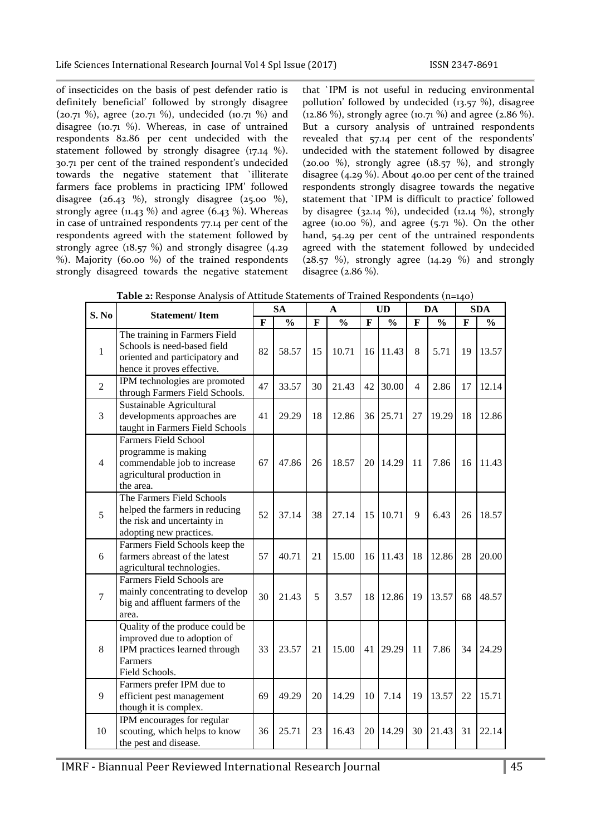of insecticides on the basis of pest defender ratio is definitely beneficial' followed by strongly disagree (20.71 %), agree (20.71 %), undecided (10.71 %) and disagree (10.71 %). Whereas, in case of untrained respondents 82.86 per cent undecided with the statement followed by strongly disagree (17.14 %). 30.71 per cent of the trained respondent's undecided towards the negative statement that `illiterate farmers face problems in practicing IPM' followed disagree  $(26.43 \%)$ , strongly disagree  $(25.00 \%)$ , strongly agree ( $11.43$  %) and agree ( $6.43$  %). Whereas in case of untrained respondents 77.14 per cent of the respondents agreed with the statement followed by strongly agree ( $18.57\%$ ) and strongly disagree ( $4.29$ ) %). Majority (60.00 %) of the trained respondents strongly disagreed towards the negative statement that `IPM is not useful in reducing environmental pollution' followed by undecided (13.57 %), disagree (12.86 %), strongly agree (10.71 %) and agree (2.86 %). But a cursory analysis of untrained respondents revealed that 57.14 per cent of the respondents' undecided with the statement followed by disagree (20.00 %), strongly agree  $(18.57 \%)$ , and strongly disagree (4.29 %). About 40.00 per cent of the trained respondents strongly disagree towards the negative statement that `IPM is difficult to practice' followed by disagree (32.14 %), undecided (12.14 %), strongly agree (10.00 %), and agree (5.71 %). On the other hand, 54.29 per cent of the untrained respondents agreed with the statement followed by undecided  $(28.57 \%)$ , strongly agree  $(14.29 \%)$  and strongly disagree (2.86 %).

| S. No          | <b>Statement/Item</b>                                                                                                        |              | <b>SA</b><br>A |              | <b>UD</b>     |              | DA            |              | <b>SDA</b>    |              |               |
|----------------|------------------------------------------------------------------------------------------------------------------------------|--------------|----------------|--------------|---------------|--------------|---------------|--------------|---------------|--------------|---------------|
|                |                                                                                                                              | $\mathbf{F}$ | $\frac{0}{0}$  | $\mathbf{F}$ | $\frac{0}{0}$ | $\mathbf{F}$ | $\frac{0}{0}$ | $\mathbf{F}$ | $\frac{0}{0}$ | $\mathbf{F}$ | $\frac{0}{0}$ |
| $\mathbf{1}$   | The training in Farmers Field<br>Schools is need-based field<br>oriented and participatory and<br>hence it proves effective. | 82           | 58.57          | 15           | 10.71         | 16           | 11.43         | 8            | 5.71          | 19           | 13.57         |
| $\overline{2}$ | IPM technologies are promoted<br>through Farmers Field Schools.                                                              | 47           | 33.57          | 30           | 21.43         | 42           | 30.00         | 4            | 2.86          | 17           | 12.14         |
| 3              | Sustainable Agricultural<br>developments approaches are<br>taught in Farmers Field Schools                                   | 41           | 29.29          | 18           | 12.86         | 36           | 25.71         | 27           | 19.29         | 18           | 12.86         |
| $\overline{4}$ | <b>Farmers Field School</b><br>programme is making<br>commendable job to increase<br>agricultural production in<br>the area. | 67           | 47.86          | 26           | 18.57         | 20           | 14.29         | 11           | 7.86          | 16           | 11.43         |
| 5              | The Farmers Field Schools<br>helped the farmers in reducing<br>the risk and uncertainty in<br>adopting new practices.        | 52           | 37.14          | 38           | 27.14         | 15           | 10.71         | 9            | 6.43          | 26           | 18.57         |
| 6              | Farmers Field Schools keep the<br>farmers abreast of the latest<br>agricultural technologies.                                | 57           | 40.71          | 21           | 15.00         | 16           | 11.43         | 18           | 12.86         | 28           | 20.00         |
| $\overline{7}$ | Farmers Field Schools are<br>mainly concentrating to develop<br>big and affluent farmers of the<br>area.                     | 30           | 21.43          | 5            | 3.57          | 18           | 12.86         | 19           | 13.57         | 68           | 48.57         |
| 8              | Quality of the produce could be<br>improved due to adoption of<br>IPM practices learned through<br>Farmers<br>Field Schools. | 33           | 23.57          | 21           | 15.00         | 41           | 29.29         | 11           | 7.86          | 34           | 24.29         |
| 9              | Farmers prefer IPM due to<br>efficient pest management<br>though it is complex.                                              | 69           | 49.29          | 20           | 14.29         | 10           | 7.14          | 19           | 13.57         | 22           | 15.71         |
| 10             | IPM encourages for regular<br>scouting, which helps to know<br>the pest and disease.                                         | 36           | 25.71          | 23           | 16.43         | 20           | 14.29         | 30           | 21.43         | 31           | 22.14         |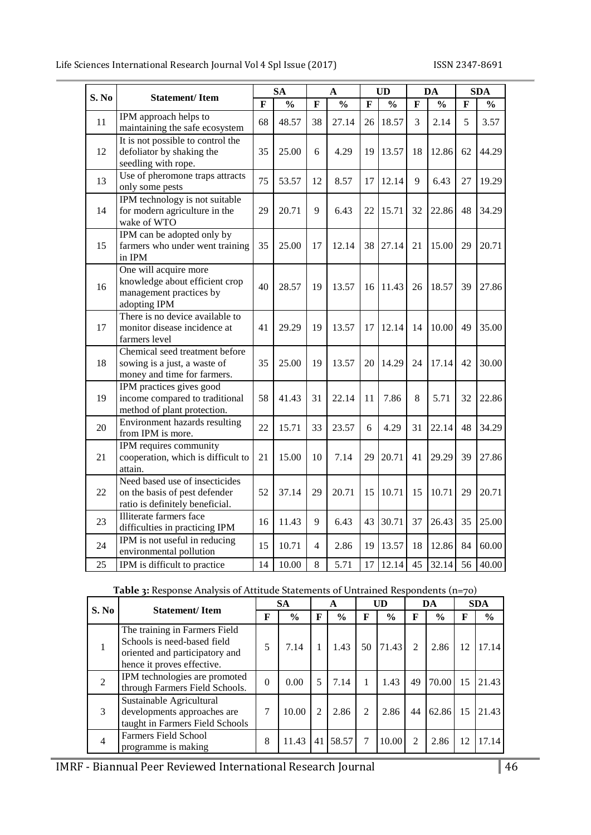Life Sciences International Research Journal Vol 4 Spl Issue (2017) ISSN 2347-8691

|       |                                                                                                    |    | <b>SA</b>     |    | $\mathbf A$   | <b>UD</b> |               | DA          |               | <b>SDA</b> |               |
|-------|----------------------------------------------------------------------------------------------------|----|---------------|----|---------------|-----------|---------------|-------------|---------------|------------|---------------|
| S. No | <b>Statement/Item</b>                                                                              | F  | $\frac{0}{0}$ | F  | $\frac{0}{0}$ | F         | $\frac{0}{0}$ | $\mathbf F$ | $\frac{0}{0}$ | F          | $\frac{0}{0}$ |
| 11    | IPM approach helps to<br>maintaining the safe ecosystem                                            | 68 | 48.57         | 38 | 27.14         | 26        | 18.57         | 3           | 2.14          | 5          | 3.57          |
| 12    | It is not possible to control the<br>defoliator by shaking the<br>seedling with rope.              | 35 | 25.00         | 6  | 4.29          | 19        | 13.57         | 18          | 12.86         | 62         | 44.29         |
| 13    | Use of pheromone traps attracts<br>only some pests                                                 | 75 | 53.57         | 12 | 8.57          | 17        | 12.14         | 9           | 6.43          | 27         | 19.29         |
| 14    | IPM technology is not suitable<br>for modern agriculture in the<br>wake of WTO                     | 29 | 20.71         | 9  | 6.43          | 22        | 15.71         | 32          | 22.86         | 48         | 34.29         |
| 15    | IPM can be adopted only by<br>farmers who under went training<br>in IPM                            | 35 | 25.00         | 17 | 12.14         | 38        | 27.14         | 21          | 15.00         | 29         | 20.71         |
| 16    | One will acquire more<br>knowledge about efficient crop<br>management practices by<br>adopting IPM | 40 | 28.57         | 19 | 13.57         | 16        | 11.43         | 26          | 18.57         | 39         | 27.86         |
| 17    | There is no device available to<br>monitor disease incidence at<br>farmers level                   | 41 | 29.29         | 19 | 13.57         | 17        | 12.14         | 14          | 10.00         | 49         | 35.00         |
| 18    | Chemical seed treatment before<br>sowing is a just, a waste of<br>money and time for farmers.      | 35 | 25.00         | 19 | 13.57         | 20        | 14.29         | 24          | 17.14         | 42         | 30.00         |
| 19    | IPM practices gives good<br>income compared to traditional<br>method of plant protection.          | 58 | 41.43         | 31 | 22.14         | 11        | 7.86          | 8           | 5.71          | 32         | 22.86         |
| 20    | Environment hazards resulting<br>from IPM is more.                                                 | 22 | 15.71         | 33 | 23.57         | 6         | 4.29          | 31          | 22.14         | 48         | 34.29         |
| 21    | IPM requires community<br>cooperation, which is difficult to<br>attain.                            | 21 | 15.00         | 10 | 7.14          | 29        | 20.71         | 41          | 29.29         | 39         | 27.86         |
| 22    | Need based use of insecticides<br>on the basis of pest defender<br>ratio is definitely beneficial. | 52 | 37.14         | 29 | 20.71         | 15        | 10.71         | 15          | 10.71         | 29         | 20.71         |
| 23    | Illiterate farmers face<br>difficulties in practicing IPM                                          | 16 | 11.43         | 9  | 6.43          | 43        | 30.71         | 37          | 26.43         | 35         | 25.00         |
| 24    | IPM is not useful in reducing<br>environmental pollution                                           | 15 | 10.71         | 4  | 2.86          | 19        | 13.57         | 18          | 12.86         | 84         | 60.00         |
| 25    | IPM is difficult to practice                                                                       | 14 | 10.00         | 8  | 5.71          | 17        | 12.14         | 45          | 32.14         | 56         | 40.00         |

| Table 3: Response Analysis of Attitude Statements of Untrained Respondents (n=70) |  |  |
|-----------------------------------------------------------------------------------|--|--|
|                                                                                   |  |  |

| S. No          | <b>Statement/Item</b>                                                                                                        | <b>SA</b> |                    | A              |               | UD |               | DA             |               | <b>SDA</b> |               |
|----------------|------------------------------------------------------------------------------------------------------------------------------|-----------|--------------------|----------------|---------------|----|---------------|----------------|---------------|------------|---------------|
|                |                                                                                                                              | F         | $\frac{6}{9}$<br>F |                | $\frac{0}{0}$ | F  | $\frac{6}{9}$ | F              | $\frac{6}{9}$ | F          | $\frac{0}{0}$ |
|                | The training in Farmers Field<br>Schools is need-based field<br>oriented and participatory and<br>hence it proves effective. | 5         | 7.14               |                | 1.43          | 50 | 71.43         | $\mathcal{L}$  | 2.86          | 12         | 17.14         |
| 2              | IPM technologies are promoted<br>through Farmers Field Schools.                                                              | $\theta$  | 0.00               | 5              | 7.14          |    | 1.43          | 49             | 70.00         | 15         | 21.43         |
| 3              | Sustainable Agricultural<br>developments approaches are<br>taught in Farmers Field Schools                                   | 7         | 10.00              | $\mathfrak{D}$ | 2.86          | 2  | 2.86          | 44             | 62.86         | 15         | 21.43         |
| $\overline{4}$ | <b>Farmers Field School</b><br>programme is making                                                                           | 8         | 11.43              | 41             | 58.57         | 7  | 10.00         | $\mathfrak{D}$ | 2.86          | 12         | 17.14         |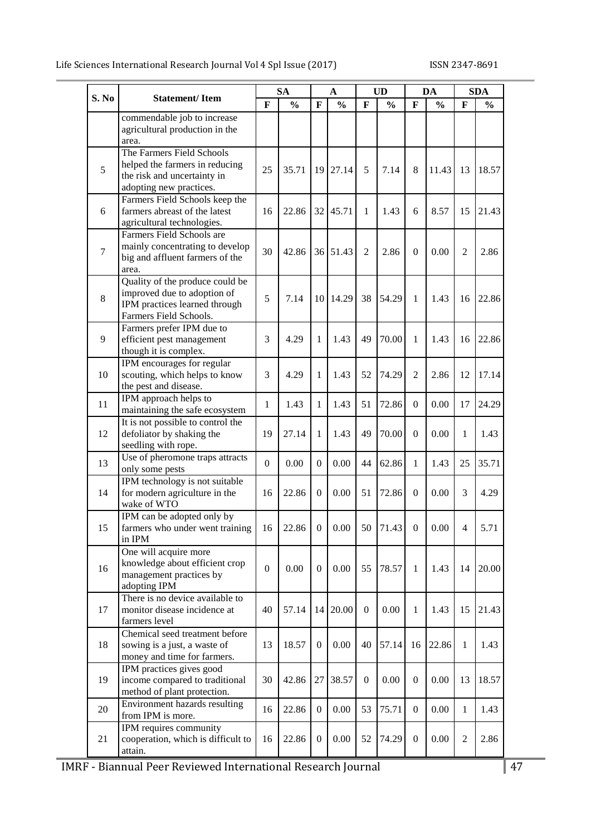| S. No   | <b>Statement/Item</b>                                                                                                     | <b>SA</b><br>$\mathbf{A}$ |               | <b>UD</b>       |               | DA             |               | <b>SDA</b>       |               |                |               |
|---------|---------------------------------------------------------------------------------------------------------------------------|---------------------------|---------------|-----------------|---------------|----------------|---------------|------------------|---------------|----------------|---------------|
|         |                                                                                                                           | $\mathbf{F}$              | $\frac{0}{0}$ | F               | $\frac{0}{0}$ | $\mathbf{F}$   | $\frac{0}{0}$ | F                | $\frac{0}{0}$ | $\mathbf{F}$   | $\frac{0}{0}$ |
|         | commendable job to increase<br>agricultural production in the<br>area.                                                    |                           |               |                 |               |                |               |                  |               |                |               |
| 5       | The Farmers Field Schools<br>helped the farmers in reducing<br>the risk and uncertainty in<br>adopting new practices.     | 25                        | 35.71         | 19              | 27.14         | 5              | 7.14          | 8                | 11.43         | 13             | 18.57         |
| 6       | Farmers Field Schools keep the<br>farmers abreast of the latest<br>agricultural technologies.                             | 16                        | 22.86         | 32              | 45.71         | 1              | 1.43          | 6                | 8.57          | 15             | 21.43         |
| $\tau$  | Farmers Field Schools are<br>mainly concentrating to develop<br>big and affluent farmers of the<br>area.                  | 30                        | 42.86         | 36              | 51.43         | $\overline{2}$ | 2.86          | $\mathbf{0}$     | 0.00          | 2              | 2.86          |
| $\,8\,$ | Quality of the produce could be<br>improved due to adoption of<br>IPM practices learned through<br>Farmers Field Schools. | 5                         | 7.14          | 10 <sup>1</sup> | 14.29         | 38             | 54.29         | 1                | 1.43          | 16             | 22.86         |
| 9       | Farmers prefer IPM due to<br>efficient pest management<br>though it is complex.                                           | 3                         | 4.29          | 1               | 1.43          | 49             | 70.00         | 1                | 1.43          | 16             | 22.86         |
| 10      | IPM encourages for regular<br>scouting, which helps to know<br>the pest and disease.                                      | 3                         | 4.29          | 1               | 1.43          | 52             | 74.29         | 2                | 2.86          | 12             | 17.14         |
| 11      | IPM approach helps to<br>maintaining the safe ecosystem                                                                   | $\mathbf{1}$              | 1.43          | 1               | 1.43          | 51             | 72.86         | $\mathbf{0}$     | 0.00          | 17             | 24.29         |
| 12      | It is not possible to control the<br>defoliator by shaking the<br>seedling with rope.                                     | 19                        | 27.14         | 1               | 1.43          | 49             | 70.00         | $\mathbf{0}$     | 0.00          | 1              | 1.43          |
| 13      | Use of pheromone traps attracts<br>only some pests                                                                        | $\mathbf{0}$              | 0.00          | $\theta$        | 0.00          | 44             | 62.86         | 1                | 1.43          | 25             | 35.71         |
| 14      | IPM technology is not suitable<br>for modern agriculture in the<br>wake of WTO                                            | 16                        | 22.86         | $\theta$        | 0.00          | 51             | 72.86         | $\mathbf{0}$     | 0.00          | 3              | 4.29          |
| 15      | IPM can be adopted only by<br>farmers who under went training<br>in IPM                                                   | 16                        | 22.86 0       |                 | 0.00          |                | 50 71.43      | $\boldsymbol{0}$ | 0.00          | $\overline{4}$ | 5.71          |
| 16      | One will acquire more<br>knowledge about efficient crop<br>management practices by<br>adopting IPM                        | $\boldsymbol{0}$          | 0.00          | $\theta$        | 0.00          | 55             | 78.57         | 1                | 1.43          | 14             | 20.00         |
| 17      | There is no device available to<br>monitor disease incidence at<br>farmers level                                          | 40                        | 57.14         | 14              | 20.00         | $\mathbf{0}$   | 0.00          | 1                | 1.43          | 15             | 21.43         |
| 18      | Chemical seed treatment before<br>sowing is a just, a waste of<br>money and time for farmers.                             | 13                        | 18.57         | $\mathbf{0}$    | 0.00          | 40             | 57.14         | 16               | 22.86         | 1              | 1.43          |
| 19      | IPM practices gives good<br>income compared to traditional<br>method of plant protection.                                 | 30                        | 42.86         | 27              | 38.57         | $\mathbf{0}$   | 0.00          | $\mathbf{0}$     | 0.00          | 13             | 18.57         |
| 20      | Environment hazards resulting<br>from IPM is more.                                                                        | 16                        | 22.86         | $\mathbf{0}$    | 0.00          | 53             | 75.71         | $\boldsymbol{0}$ | 0.00          | 1              | 1.43          |
| 21      | IPM requires community<br>cooperation, which is difficult to<br>attain.                                                   | 16                        | 22.86         | $\theta$        | 0.00          | 52             | 74.29         | $\boldsymbol{0}$ | 0.00          | $\overline{2}$ | 2.86          |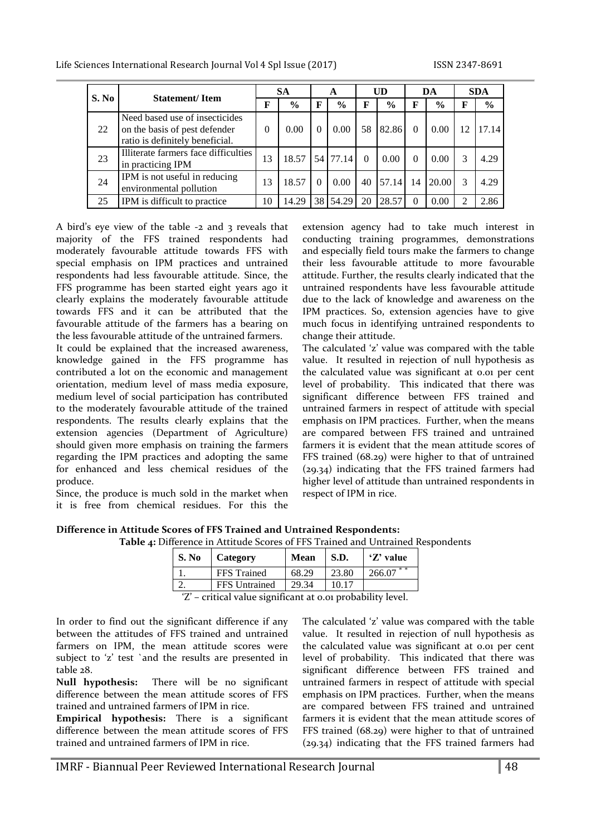| S. No | <b>Statement/Item</b>                                                                              |          | <b>SA</b>     |    | A             |          | UD            |          | DA            |    | <b>SDA</b>    |
|-------|----------------------------------------------------------------------------------------------------|----------|---------------|----|---------------|----------|---------------|----------|---------------|----|---------------|
|       |                                                                                                    | F        | $\frac{0}{0}$ | F  | $\frac{0}{0}$ | F        | $\frac{0}{0}$ | F        | $\frac{6}{9}$ | F  | $\frac{6}{6}$ |
| 22    | Need based use of insecticides<br>on the basis of pest defender<br>ratio is definitely beneficial. | $\Omega$ | 0.00          |    | 0.00          | 58       | 82.86         | $\Omega$ | 0.00          | 12 | 17.14         |
| 23    | Illiterate farmers face difficulties<br>in practicing IPM                                          | 13       | 18.57         |    | 54 77.14      | $\Omega$ | 0.00          | $\Omega$ | 0.00          |    | 4.29          |
| 24    | IPM is not useful in reducing<br>environmental pollution                                           | 13       | 18.57         |    | 0.00          | 40       | 57.14         | 14       | 20.00         | 3  | 4.29          |
| 25    | IPM is difficult to practice                                                                       | 10       | 14.29         | 38 | 54.29         | 20       | 28.57         | $\Omega$ | 0.00          | ി  | 2.86          |

A bird's eye view of the table -2 and 3 reveals that majority of the FFS trained respondents had moderately favourable attitude towards FFS with special emphasis on IPM practices and untrained respondents had less favourable attitude. Since, the FFS programme has been started eight years ago it clearly explains the moderately favourable attitude towards FFS and it can be attributed that the favourable attitude of the farmers has a bearing on the less favourable attitude of the untrained farmers.

It could be explained that the increased awareness, knowledge gained in the FFS programme has contributed a lot on the economic and management orientation, medium level of mass media exposure, medium level of social participation has contributed to the moderately favourable attitude of the trained respondents. The results clearly explains that the extension agencies (Department of Agriculture) should given more emphasis on training the farmers regarding the IPM practices and adopting the same for enhanced and less chemical residues of the produce.

Since, the produce is much sold in the market when it is free from chemical residues. For this the

extension agency had to take much interest in conducting training programmes, demonstrations and especially field tours make the farmers to change their less favourable attitude to more favourable attitude. Further, the results clearly indicated that the untrained respondents have less favourable attitude due to the lack of knowledge and awareness on the IPM practices. So, extension agencies have to give much focus in identifying untrained respondents to change their attitude.

The calculated 'z' value was compared with the table value. It resulted in rejection of null hypothesis as the calculated value was significant at 0.01 per cent level of probability. This indicated that there was significant difference between FFS trained and untrained farmers in respect of attitude with special emphasis on IPM practices. Further, when the means are compared between FFS trained and untrained farmers it is evident that the mean attitude scores of FFS trained (68.29) were higher to that of untrained (29.34) indicating that the FFS trained farmers had higher level of attitude than untrained respondents in respect of IPM in rice.

| Difference in Attitude Scores of FFS Trained and Untrained Respondents:                |  |
|----------------------------------------------------------------------------------------|--|
| <b>Table 4: Difference in Attitude Scores of FFS Trained and Untrained Respondents</b> |  |

| S. No | Category             | <b>Mean</b> | S.D.  | 'Z' value     |
|-------|----------------------|-------------|-------|---------------|
|       | <b>FFS</b> Trained   | 68.29       | 23.80 | * *<br>266.07 |
|       | <b>FFS</b> Untrained | 29.34       | 10.17 |               |
| (7)   |                      |             |       |               |

'Z' – critical value significant at 0.01 probability level.

In order to find out the significant difference if any between the attitudes of FFS trained and untrained farmers on IPM, the mean attitude scores were subject to 'z' test `and the results are presented in table 28.

**Null hypothesis:** There will be no significant difference between the mean attitude scores of FFS trained and untrained farmers of IPM in rice.

**Empirical hypothesis:** There is a significant difference between the mean attitude scores of FFS trained and untrained farmers of IPM in rice.

The calculated 'z' value was compared with the table value. It resulted in rejection of null hypothesis as the calculated value was significant at 0.01 per cent level of probability. This indicated that there was significant difference between FFS trained and untrained farmers in respect of attitude with special emphasis on IPM practices. Further, when the means are compared between FFS trained and untrained farmers it is evident that the mean attitude scores of FFS trained (68.29) were higher to that of untrained (29.34) indicating that the FFS trained farmers had